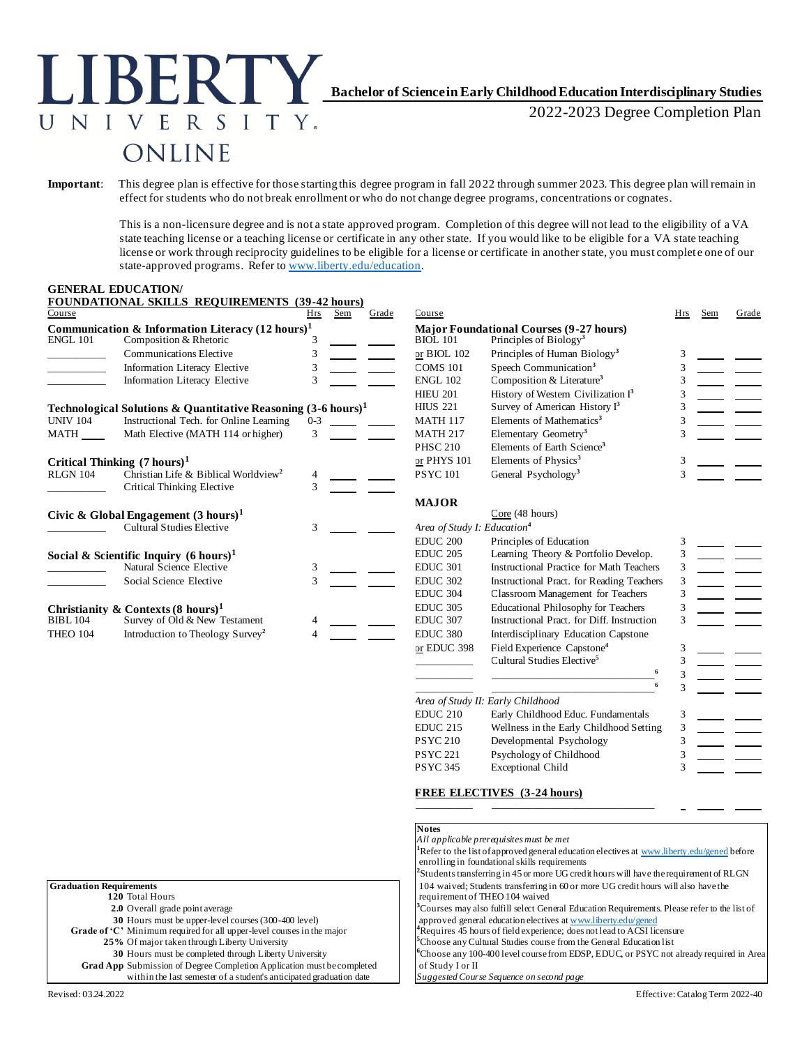# **Bachelor of Science inEarly Childhood Education Interdisciplinary Studies**

2022-2023 Degree Completion Plan

# ONLINE

**IBERT** 

NIVERSITY.

**Important**: This degree plan is effective for those starting this degree program in fall 2022 through summer 2023. This degree plan will remain in effect for students who do not break enrollment or who do not change degree programs, concentrations or cognates.

> This is a non-licensure degree and is not a state approved program. Completion of this degree will not lead to the eligibility of a VA state teaching license or a teaching license or certificate in any other state. If you would like to be eligible for a VA state teaching license or work through reciprocity guidelines to be eligible for a license or certificate in another state, you must complet e one of our state-approved programs. Refer t[o www.liberty.edu/education](http://www.liberty.edu/education).

#### **GENERAL EDUCATION/**

| Course                                | FOUNDATIONAL SKILLS REQUIREMENTS (39-42 nours)                           | <b>Hrs</b>                              | Sem | Grade | Course          |                                                | Hrs | Sem | Grade |
|---------------------------------------|--------------------------------------------------------------------------|-----------------------------------------|-----|-------|-----------------|------------------------------------------------|-----|-----|-------|
|                                       | Communication & Information Literacy $(12 \text{ hours})^1$              |                                         |     |       |                 | <b>Major Foundational Courses (9-27 hours)</b> |     |     |       |
| <b>ENGL 101</b>                       | Composition & Rhetoric                                                   |                                         |     |       | <b>BIOL 101</b> | Principles of Biology <sup>3</sup>             |     |     |       |
|                                       | <b>Communications Elective</b>                                           | 3                                       |     |       | or BIOL 102     | Principles of Human Biology <sup>3</sup>       |     |     |       |
|                                       | Information Literacy Elective                                            | 3                                       |     |       | <b>COMS 101</b> | Speech Communication <sup>3</sup>              |     |     |       |
|                                       | Information Literacy Elective                                            | 3                                       |     |       | <b>ENGL 102</b> | Composition & Literature <sup>3</sup>          |     |     |       |
|                                       |                                                                          |                                         |     |       | <b>HIEU 201</b> | History of Western Civilization I <sup>3</sup> |     |     |       |
|                                       | Technological Solutions & Quantitative Reasoning $(3-6 \text{ hours})^1$ |                                         |     |       | <b>HIUS 221</b> | Survey of American History I <sup>3</sup>      |     |     |       |
| <b>UNIV 104</b>                       | Instructional Tech. for Online Learning                                  | $0 - 3$                                 |     |       | <b>MATH 117</b> | Elements of Mathematics <sup>3</sup>           |     |     |       |
| MATH                                  | Math Elective (MATH 114 or higher)                                       | 3                                       |     |       | <b>MATH 217</b> | Elementary Geometry <sup>3</sup>               |     |     |       |
|                                       |                                                                          |                                         |     |       | <b>PHSC 210</b> | Elements of Earth Science <sup>3</sup>         |     |     |       |
|                                       | Critical Thinking $(7 \text{ hours})^1$                                  |                                         |     |       | or PHYS 101     | Elements of Physics <sup>3</sup>               |     |     |       |
| <b>RLGN 104</b>                       | Christian Life & Biblical Worldview <sup>2</sup>                         |                                         |     |       | <b>PSYC101</b>  | General Psychology <sup>3</sup>                |     |     |       |
|                                       | <b>Critical Thinking Elective</b>                                        | 3                                       |     |       |                 |                                                |     |     |       |
|                                       |                                                                          |                                         |     |       | <b>MAJOR</b>    |                                                |     |     |       |
|                                       | Civic & Global Engagement $(3 \text{ hours})^1$                          |                                         |     |       |                 | Core (48 hours)                                |     |     |       |
| <b>Cultural Studies Elective</b><br>3 |                                                                          | Area of Study I: Education <sup>4</sup> |     |       |                 |                                                |     |     |       |
|                                       |                                                                          |                                         |     |       | <b>EDUC 200</b> | Principles of Education                        |     |     |       |
|                                       | Social & Scientific Inquiry $(6 \text{ hours})^1$                        |                                         |     |       | <b>EDUC 205</b> | Learning Theory & Portfolio Develop.           |     |     |       |
|                                       | Natural Science Elective                                                 | 3                                       |     |       | <b>EDUC 301</b> | Instructional Practice for Math Teachers       |     |     |       |
|                                       | Social Science Elective                                                  | 3                                       |     |       | <b>EDUC 302</b> | Instructional Pract. for Reading Teachers      |     |     |       |
|                                       |                                                                          |                                         |     |       | <b>EDUC 304</b> | Classroom Management for Teachers              |     |     |       |
|                                       | Christianity & Contexts $(8 \text{ hours})^1$                            |                                         |     |       | <b>EDUC 305</b> | <b>Educational Philosophy for Teachers</b>     |     |     |       |
| <b>BIBL 104</b>                       | Survey of Old & New Testament                                            |                                         |     |       | <b>EDUC 307</b> | Instructional Pract. for Diff. Instruction     |     |     |       |
| <b>THEO 104</b>                       | Introduction to Theology Survey <sup>2</sup>                             |                                         |     |       | <b>EDUC 380</b> | Interdisciplinary Education Capstone           |     |     |       |
|                                       |                                                                          |                                         |     |       | or $FDIIC$ 398  | Field Experience Capstone <sup>4</sup>         |     |     |       |

**FOUNDATIONAL SKILLS REQUIREMENTS (39-42 hours)**

| (rs  | Sem             | Grade | Course                                  |                                                                                      | Hrs | Sem | Grade |
|------|-----------------|-------|-----------------------------------------|--------------------------------------------------------------------------------------|-----|-----|-------|
| 3    |                 |       | <b>BIOL 101</b>                         | <b>Major Foundational Courses (9-27 hours)</b><br>Principles of Biology <sup>3</sup> |     |     |       |
| 3    |                 |       | or BIOL 102                             | Principles of Human Biology <sup>3</sup>                                             | 3   |     |       |
| 3    |                 |       | <b>COMS 101</b>                         | Speech Communication <sup>3</sup>                                                    | 3   |     |       |
| 3    |                 |       | <b>ENGL 102</b>                         | Composition & Literature <sup>3</sup>                                                | 3   |     |       |
|      |                 |       | <b>HIEU 201</b>                         | History of Western Civilization I <sup>3</sup>                                       | 3   |     |       |
|      | 3-6 hours) $^1$ |       | <b>HIUS 221</b>                         | Survey of American History I <sup>3</sup>                                            | 3   |     |       |
| $-3$ |                 |       | <b>MATH 117</b>                         | Elements of Mathematics <sup>3</sup>                                                 | 3   |     |       |
| 3    |                 |       | <b>MATH 217</b>                         | Elementary Geometry <sup>3</sup>                                                     | 3   |     |       |
|      |                 |       | <b>PHSC 210</b>                         | Elements of Earth Science <sup>3</sup>                                               |     |     |       |
|      |                 |       | or PHYS 101                             | Elements of Physics <sup>3</sup>                                                     | 3   |     |       |
| 4    |                 |       | <b>PSYC101</b>                          | General Psychology <sup>3</sup>                                                      | 3   |     |       |
| 3    |                 |       |                                         |                                                                                      |     |     |       |
|      |                 |       | <b>MAJOR</b>                            |                                                                                      |     |     |       |
|      |                 |       |                                         | Core (48 hours)                                                                      |     |     |       |
| 3    |                 |       | Area of Study I: Education <sup>4</sup> |                                                                                      |     |     |       |
|      |                 |       | <b>EDUC 200</b>                         | Principles of Education                                                              | 3   |     |       |
|      |                 |       | <b>EDUC 205</b>                         | Learning Theory & Portfolio Develop.                                                 | 3   |     |       |
| 3    |                 |       | <b>EDUC 301</b>                         | Instructional Practice for Math Teachers                                             | 3   |     |       |
| 3    |                 |       | <b>EDUC 302</b>                         | Instructional Pract. for Reading Teachers                                            | 3   |     |       |
|      |                 |       | <b>EDUC 304</b>                         | Classroom Management for Teachers                                                    | 3   |     |       |
|      |                 |       | <b>EDUC 305</b>                         | <b>Educational Philosophy for Teachers</b>                                           | 3   |     |       |
|      |                 |       | <b>EDUC 307</b>                         | Instructional Pract. for Diff. Instruction                                           | 3   |     |       |
|      |                 |       | <b>EDUC 380</b>                         | Interdisciplinary Education Capstone                                                 |     |     |       |
|      |                 |       | or EDUC 398                             | Field Experience Capstone <sup>4</sup>                                               | 3   |     |       |
|      |                 |       |                                         | Cultural Studies Elective <sup>5</sup>                                               | 3   |     |       |
|      |                 |       |                                         |                                                                                      | 3   |     |       |
|      |                 |       |                                         | 6                                                                                    | 3   |     |       |
|      |                 |       |                                         | Area of Study II: Early Childhood                                                    |     |     |       |
|      |                 |       | <b>EDUC 210</b>                         | Early Childhood Educ. Fundamentals                                                   | 3   |     |       |
|      |                 |       | <b>EDUC 215</b>                         | Wellness in the Early Childhood Setting                                              | 3   |     |       |
|      |                 |       | <b>PSYC 210</b>                         | Developmental Psychology                                                             | 3   |     |       |
|      |                 |       | <b>PSYC 221</b>                         | Psychology of Childhood                                                              | 3   |     |       |
|      |                 |       | <b>PSYC 345</b>                         | <b>Exceptional Child</b>                                                             | 3   |     |       |
|      |                 |       |                                         |                                                                                      |     |     |       |

#### **FREE ELECTIVES (3-24 hours)**

\_\_\_\_\_\_\_\_\_\_\_ \_\_\_\_\_\_\_\_\_\_\_\_\_\_\_\_\_\_\_\_\_\_\_\_\_\_\_\_\_\_\_

|                                                                               | <b>Notes</b>                                                                                             |
|-------------------------------------------------------------------------------|----------------------------------------------------------------------------------------------------------|
|                                                                               | All applicable prerequisites must be met                                                                 |
|                                                                               | <sup>1</sup> Refer to the list of approved general education electives at www.liberty.edu/gened before   |
|                                                                               | enrolling in foundational skills requirements                                                            |
|                                                                               | <sup>2</sup> Students transferring in 45 or more UG credit hours will have the requirement of RLGN       |
| <b>Graduation Requirements</b>                                                | 104 waived; Students transferring in 60 or more UG credit hours will also have the                       |
| 120 Total Hours                                                               | requirement of THEO 104 waived                                                                           |
| 2.0 Overall grade point average                                               | <sup>3</sup> Courses may also fulfill select General Education Requirements. Please refer to the list of |
| 30 Hours must be upper-level courses (300-400 level)                          | approved general education electives at www.liberty.edu/gened                                            |
| Grade of $C'$ . Minimum required for all upper-level courses in the major     | <sup>4</sup> Requires 45 hours of field experience; does not lead to ACSI licensure                      |
| 25% Of major taken through Liberty University                                 | Choose any Cultural Studies course from the General Education list                                       |
| 30 Hours must be completed through Liberty University                         | Choose any 100-400 level course from EDSP, EDUC, or PSYC not already required in Area                    |
| <b>Grad App</b> Submission of Degree Completion Application must be completed | of Study I or II                                                                                         |
| within the last semester of a student's anticipated graduation date           | Suggested Course Sequence on second page                                                                 |